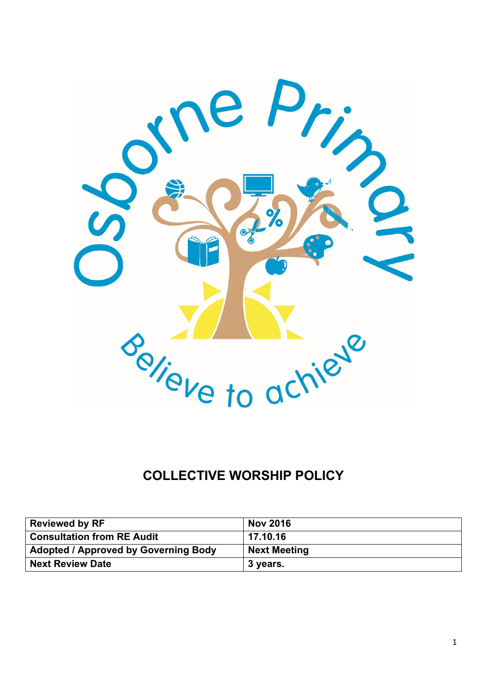

# **COLLECTIVE WORSHIP POLICY**

| <b>Reviewed by RF</b>                       | <b>Nov 2016</b>     |
|---------------------------------------------|---------------------|
| <b>Consultation from RE Audit</b>           | 17.10.16            |
| <b>Adopted / Approved by Governing Body</b> | <b>Next Meeting</b> |
| <b>Next Review Date</b>                     | 3 years.            |